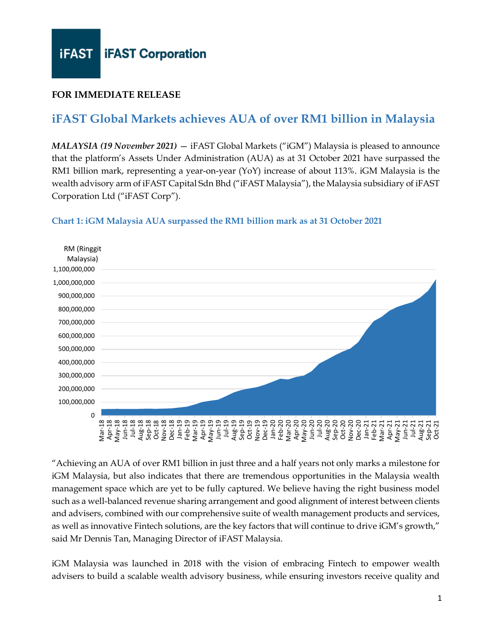### **FOR IMMEDIATE RELEASE**

## **iFAST Global Markets achieves AUA of over RM1 billion in Malaysia**

*MALAYSIA (19 November 2021)* — iFAST Global Markets ("iGM") Malaysia is pleased to announce that the platform's Assets Under Administration (AUA) as at 31 October 2021 have surpassed the RM1 billion mark, representing a year-on-year (YoY) increase of about 113%. iGM Malaysia is the wealth advisory arm of iFAST Capital Sdn Bhd ("iFAST Malaysia"), the Malaysia subsidiary of iFAST Corporation Ltd ("iFAST Corp").

#### **Chart 1: iGM Malaysia AUA surpassed the RM1 billion mark as at 31 October 2021**



"Achieving an AUA of over RM1 billion in just three and a half years not only marks a milestone for iGM Malaysia, but also indicates that there are tremendous opportunities in the Malaysia wealth management space which are yet to be fully captured. We believe having the right business model such as a well-balanced revenue sharing arrangement and good alignment of interest between clients and advisers, combined with our comprehensive suite of wealth management products and services, as well as innovative Fintech solutions, are the key factors that will continue to drive iGM's growth," said Mr Dennis Tan, Managing Director of iFAST Malaysia.

iGM Malaysia was launched in 2018 with the vision of embracing Fintech to empower wealth advisers to build a scalable wealth advisory business, while ensuring investors receive quality and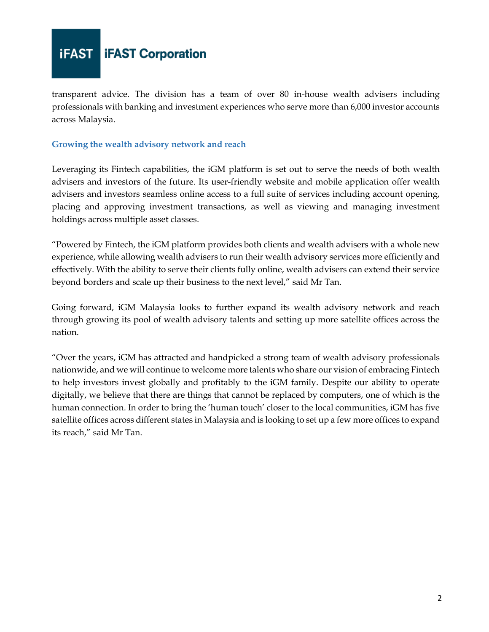

transparent advice. The division has a team of over 80 in-house wealth advisers including professionals with banking and investment experiences who serve more than 6,000 investor accounts across Malaysia.

#### **Growing the wealth advisory network and reach**

Leveraging its Fintech capabilities, the iGM platform is set out to serve the needs of both wealth advisers and investors of the future. Its user-friendly website and mobile application offer wealth advisers and investors seamless online access to a full suite of services including account opening, placing and approving investment transactions, as well as viewing and managing investment holdings across multiple asset classes.

"Powered by Fintech, the iGM platform provides both clients and wealth advisers with a whole new experience, while allowing wealth advisers to run their wealth advisory services more efficiently and effectively. With the ability to serve their clients fully online, wealth advisers can extend their service beyond borders and scale up their business to the next level," said Mr Tan.

Going forward, iGM Malaysia looks to further expand its wealth advisory network and reach through growing its pool of wealth advisory talents and setting up more satellite offices across the nation.

"Over the years, iGM has attracted and handpicked a strong team of wealth advisory professionals nationwide, and we will continue to welcome more talents who share our vision of embracing Fintech to help investors invest globally and profitably to the iGM family. Despite our ability to operate digitally, we believe that there are things that cannot be replaced by computers, one of which is the human connection. In order to bring the 'human touch' closer to the local communities, iGM has five satellite offices across different states in Malaysia and is looking to set up a few more offices to expand its reach," said Mr Tan.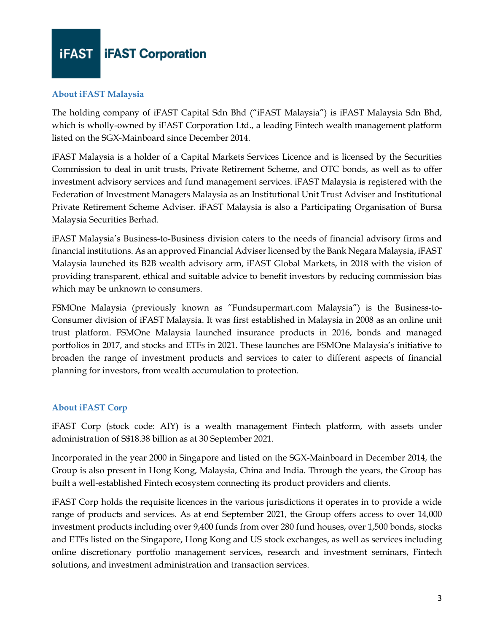

#### **About iFAST Malaysia**

The holding company of iFAST Capital Sdn Bhd ("iFAST Malaysia") is iFAST Malaysia Sdn Bhd, which is wholly-owned by iFAST Corporation Ltd., a leading Fintech wealth management platform listed on the SGX-Mainboard since December 2014.

iFAST Malaysia is a holder of a Capital Markets Services Licence and is licensed by the Securities Commission to deal in unit trusts, Private Retirement Scheme, and OTC bonds, as well as to offer investment advisory services and fund management services. iFAST Malaysia is registered with the Federation of Investment Managers Malaysia as an Institutional Unit Trust Adviser and Institutional Private Retirement Scheme Adviser. iFAST Malaysia is also a Participating Organisation of Bursa Malaysia Securities Berhad.

iFAST Malaysia's Business-to-Business division caters to the needs of financial advisory firms and financial institutions. As an approved Financial Adviser licensed by the Bank Negara Malaysia, iFAST Malaysia launched its B2B wealth advisory arm, iFAST Global Markets, in 2018 with the vision of providing transparent, ethical and suitable advice to benefit investors by reducing commission bias which may be unknown to consumers.

FSMOne Malaysia (previously known as "Fundsupermart.com Malaysia") is the Business-to-Consumer division of iFAST Malaysia. It was first established in Malaysia in 2008 as an online unit trust platform. FSMOne Malaysia launched insurance products in 2016, bonds and managed portfolios in 2017, and stocks and ETFs in 2021. These launches are FSMOne Malaysia's initiative to broaden the range of investment products and services to cater to different aspects of financial planning for investors, from wealth accumulation to protection.

#### **About iFAST Corp**

iFAST Corp (stock code: AIY) is a wealth management Fintech platform, with assets under administration of S\$18.38 billion as at 30 September 2021.

Incorporated in the year 2000 in Singapore and listed on the SGX-Mainboard in December 2014, the Group is also present in Hong Kong, Malaysia, China and India. Through the years, the Group has built a well-established Fintech ecosystem connecting its product providers and clients.

iFAST Corp holds the requisite licences in the various jurisdictions it operates in to provide a wide range of products and services. As at end September 2021, the Group offers access to over 14,000 investment products including over 9,400 funds from over 280 fund houses, over 1,500 bonds, stocks and ETFs listed on the Singapore, Hong Kong and US stock exchanges, as well as services including online discretionary portfolio management services, research and investment seminars, Fintech solutions, and investment administration and transaction services.